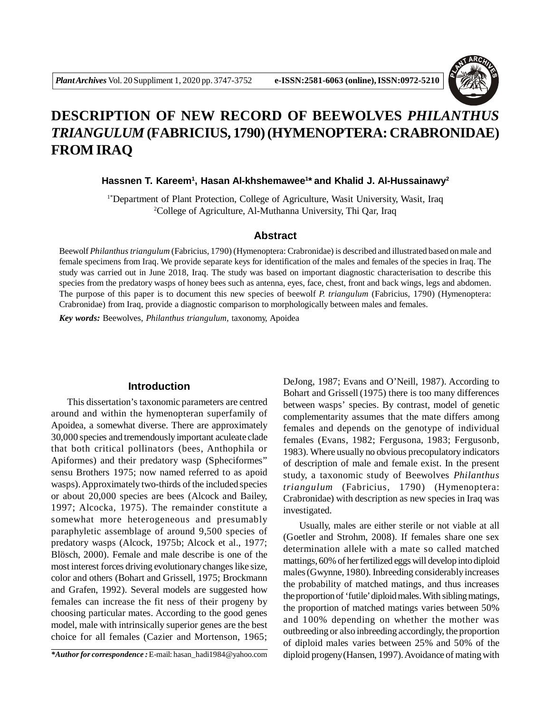

# **DESCRIPTION OF NEW RECORD OF BEEWOLVES** *PHILANTHUS TRIANGULUM* **(FABRICIUS, 1790) (HYMENOPTERA: CRABRONIDAE) FROM IRAQ**

**Hassnen T. Kareem<sup>1</sup> , Hasan Al-khshemawee<sup>1</sup> \* and Khalid J. Al-Hussainawy<sup>2</sup>**

1\*Department of Plant Protection, College of Agriculture, Wasit University, Wasit, Iraq <sup>2</sup>College of Agriculture, Al-Muthanna University, Thi Qar, Iraq

#### **Abstract**

Beewolf *Philanthus triangulum* (Fabricius, 1790) (Hymenoptera: Crabronidae) is described and illustrated based on male and female specimens from Iraq. We provide separate keys for identification of the males and females of the species in Iraq. The study was carried out in June 2018, Iraq. The study was based on important diagnostic characterisation to describe this species from the predatory wasps of honey bees such as antenna, eyes, face, chest, front and back wings, legs and abdomen. The purpose of this paper is to document this new species of beewolf *P. triangulum* (Fabricius, 1790) (Hymenoptera: Crabronidae) from Iraq, provide a diagnostic comparison to morphologically between males and females.

*Key words:* Beewolves, *Philanthus triangulum,* taxonomy, Apoidea

# **Introduction**

This dissertation's taxonomic parameters are centred around and within the hymenopteran superfamily of Apoidea, a somewhat diverse. There are approximately 30,000 species and tremendously important aculeate clade that both critical pollinators (bees, Anthophila or Apiformes) and their predatory wasp (Spheciformes" sensu Brothers 1975; now named referred to as apoid wasps). Approximately two-thirds of the included species or about 20,000 species are bees (Alcock and Bailey, 1997; Alcocka, 1975). The remainder constitute a somewhat more heterogeneous and presumably paraphyletic assemblage of around 9,500 species of predatory wasps (Alcock, 1975b; Alcock et al., 1977; Blösch, 2000). Female and male describe is one of the most interest forces driving evolutionary changes like size, color and others (Bohart and Grissell, 1975; Brockmann and Grafen, 1992). Several models are suggested how females can increase the fit ness of their progeny by choosing particular mates. According to the good genes model, male with intrinsically superior genes are the best choice for all females (Cazier and Mortenson, 1965;

DeJong, 1987; Evans and O'Neill, 1987). According to Bohart and Grissell (1975) there is too many differences between wasps' species. By contrast, model of genetic complementarity assumes that the mate differs among females and depends on the genotype of individual females (Evans, 1982; Fergusona, 1983; Fergusonb, 1983). Where usually no obvious precopulatory indicators of description of male and female exist. In the present study, a taxonomic study of Beewolves *Philanthus triangulum* (Fabricius, 1790) (Hymenoptera: Crabronidae) with description as new species in Iraq was investigated.

Usually, males are either sterile or not viable at all (Goetler and Strohm, 2008). If females share one sex determination allele with a mate so called matched mattings, 60% of her fertilized eggs will develop into diploid males(Gwynne, 1980). Inbreeding considerably increases the probability of matched matings, and thus increases the proportion of 'futile' diploid males. With sibling matings, the proportion of matched matings varies between 50% and 100% depending on whether the mother was outbreeding or also inbreeding accordingly, the proportion of diploid males varies between 25% and 50% of the diploid progeny(Hansen, 1997). Avoidance of mating with

*<sup>\*</sup>Author for correspondence :* E-mail: hasan\_hadi1984@yahoo.com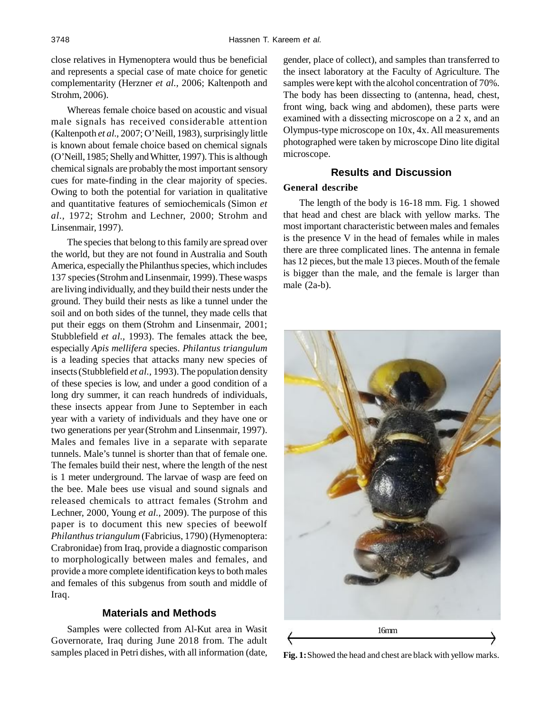close relatives in Hymenoptera would thus be beneficial and represents a special case of mate choice for genetic complementarity (Herzner *et al.,* 2006; Kaltenpoth and Strohm, 2006).

Whereas female choice based on acoustic and visual male signals has received considerable attention (Kaltenpoth *et al.,* 2007; O'Neill, 1983), surprisingly little is known about female choice based on chemical signals (O'Neill, 1985; Shelly and Whitter, 1997). This is although chemical signals are probably the most important sensory cues for mate-finding in the clear majority of species. Owing to both the potential for variation in qualitative and quantitative features of semiochemicals (Simon *et al.,* 1972; Strohm and Lechner, 2000; Strohm and Linsenmair, 1997).

The species that belong to this family are spread over the world, but they are not found in Australia and South America, especially the Philanthus species, which includes 137 species(Strohm and Linsenmair, 1999). These wasps are living individually, and they build their nests under the ground. They build their nests as like a tunnel under the soil and on both sides of the tunnel, they made cells that put their eggs on them (Strohm and Linsenmair, 2001; Stubblefield *et al.,* 1993). The females attack the bee, especially *Apis mellifera* species. *Philantus triangulum* is a leading species that attacks many new species of insects(Stubblefield *et al.,* 1993). The population density of these species is low, and under a good condition of a long dry summer, it can reach hundreds of individuals, these insects appear from June to September in each year with a variety of individuals and they have one or two generations per year(Strohm and Linsenmair, 1997). Males and females live in a separate with separate tunnels. Male's tunnel is shorter than that of female one. The females build their nest, where the length of the nest is 1 meter underground. The larvae of wasp are feed on the bee. Male bees use visual and sound signals and released chemicals to attract females (Strohm and Lechner, 2000, Young *et al.,* 2009). The purpose of this paper is to document this new species of beewolf *Philanthus triangulum* (Fabricius, 1790) (Hymenoptera: Crabronidae) from Iraq, provide a diagnostic comparison to morphologically between males and females, and provide a more complete identification keys to both males and females of this subgenus from south and middle of Iraq.

### **Materials and Methods**

Samples were collected from Al-Kut area in Wasit Governorate, Iraq during June 2018 from. The adult samples placed in Petri dishes, with all information (date,

gender, place of collect), and samples than transferred to the insect laboratory at the Faculty of Agriculture. The samples were kept with the alcohol concentration of 70%. The body has been dissecting to (antenna, head, chest, front wing, back wing and abdomen), these parts were examined with a dissecting microscope on a 2 x, and an Olympus-type microscope on 10x, 4x. All measurements photographed were taken by microscope Dino lite digital microscope.

## **Results and Discussion**

#### **General describe**

The length of the body is 16-18 mm. Fig. 1 showed that head and chest are black with yellow marks. The most important characteristic between males and females is the presence V in the head of females while in males there are three complicated lines. The antenna in female has 12 pieces, but the male 13 pieces. Mouth of the female is bigger than the male, and the female is larger than male (2a-b).



**Fig. 1:**Showed the head and chest are black with yellow marks.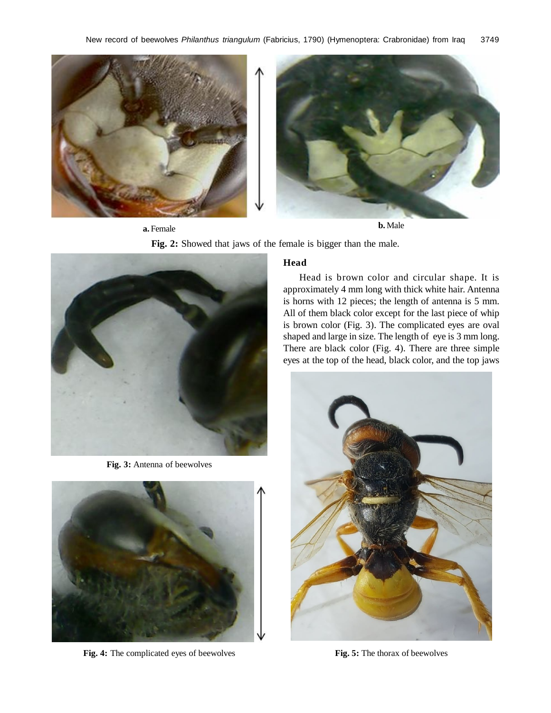

**a.** Female **b.** Male

**Fig. 2:** Showed that jaws of the female is bigger than the male.



**Fig. 3:** Antenna of beewolves



**Fig. 4:** The complicated eyes of beewolves **Fig. 5:** The thorax of beewolves

### **Head**

Head is brown color and circular shape. It is approximately 4 mm long with thick white hair. Antenna is horns with 12 pieces; the length of antenna is 5 mm. All of them black color except for the last piece of whip is brown color (Fig. 3). The complicated eyes are oval shaped and large in size. The length of eye is 3 mm long. There are black color (Fig. 4). There are three simple eyes at the top of the head, black color, and the top jaws

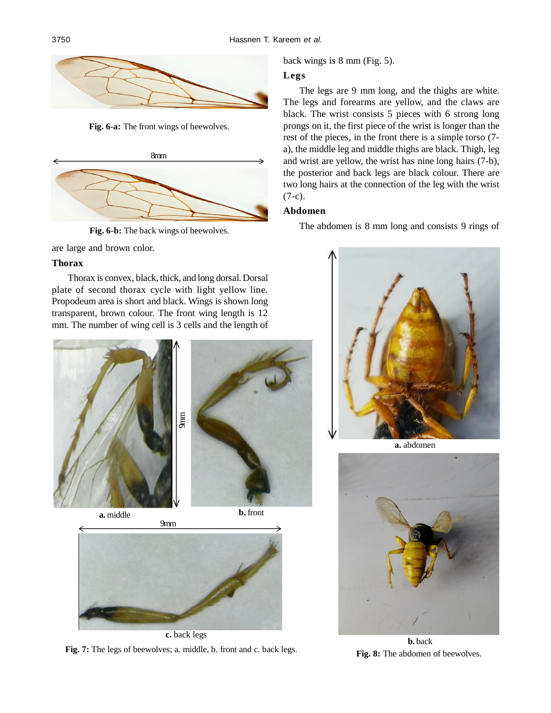

**Fig. 6-a:** The front wings of beewolves.



**Fig. 6-b:** The back wings of beewolves.

are large and brown color.

#### **Thorax**

Thorax is convex, black, thick, and long dorsal. Dorsal plate of second thorax cycle with light yellow line. Propodeum area is short and black. Wings is shown long transparent, brown colour. The front wing length is 12 mm. The number of wing cell is 3 cells and the length of





**Fig. 7:** The legs of beewolves; a. middle, b. front and c. back legs.

back wings is 8 mm (Fig. 5).

## **Legs**

The legs are 9 mm long, and the thighs are white. The legs and forearms are yellow, and the claws are black. The wrist consists 5 pieces with 6 strong long prongs on it, the first piece of the wrist is longer than the rest of the pieces, in the front there is a simple torso (7 a), the middle leg and middle thighs are black. Thigh, leg and wrist are yellow, the wrist has nine long hairs (7-b), the posterior and back legs are black colour. There are two long hairs at the connection of the leg with the wrist (7-c).

## **Abdomen**

The abdomen is 8 mm long and consists 9 rings of



**a.** abdomen



**b.** back **Fig. 8:** The abdomen of beewolves.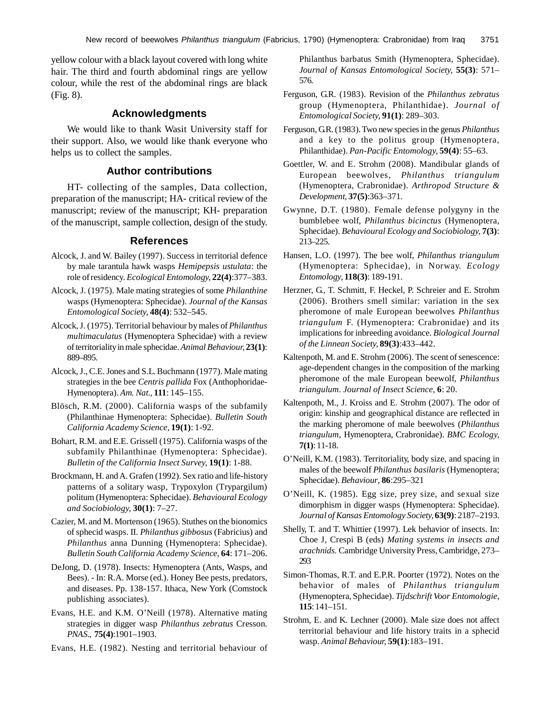yellow colour with a black layout covered with long white hair. The third and fourth abdominal rings are yellow colour, while the rest of the abdominal rings are black (Fig. 8).

# **Acknowledgments**

We would like to thank Wasit University staff for their support. Also, we would like thank everyone who helps us to collect the samples.

#### **Author contributions**

HT- collecting of the samples, Data collection, preparation of the manuscript; HA- critical review of the manuscript; review of the manuscript; KH- preparation of the manuscript, sample collection, design of the study.

#### **References**

- Alcock, J. and W. Bailey (1997). Success in territorial defence by male tarantula hawk wasps *Hemipepsis ustulata*: the role of residency*. Ecological Entomology,* **22(4)**:377–383.
- Alcock, J. (1975). Male mating strategies of some *Philanthine* wasps (Hymenoptera: Sphecidae). *Journal of the Kansas Entomological Society,* **48(4)**: 532–545.
- Alcock, J. (1975). Territorial behaviour by males of *Philanthus multimaculatus* (Hymenoptera Sphecidae) with a review of territoriality in male sphecidae. *Animal Behaviour,* **23(1)**: 889–895.
- Alcock, J., C.E. Jones and S.L. Buchmann (1977). Male mating strategies in the bee *Centris pallida* Fox (Anthophoridae-Hymenoptera). *Am. Nat.,* **111**: 145–155.
- Blösch, R.M. (2000). California wasps of the subfamily (Philanthinae Hymenoptera: Sphecidae). *Bulletin South California Academy Science,* **19(1)**: 1-92.
- Bohart, R.M. and E.E. Grissell (1975). California wasps of the subfamily Philanthinae (Hymenoptera: Sphecidae). *Bulletin of the California Insect Survey,* **19(1)**: 1-88.
- Brockmann, H. and A. Grafen (1992). Sex ratio and life-history patterns of a solitary wasp, Trypoxylon (Trypargilum) politum (Hymenoptera: Sphecidae). *Behavioural Ecology and Sociobiology,* **30(1)**: 7–27.
- Cazier, M. and M. Mortenson (1965). Stuthes on the bionomics of sphecid wasps. II. *Philanthus gibbosus* (Fabricius) and *Philanthus* anna Dunning (Hymenoptera: Sphecidae). *Bulletin South California Academy Science,* **64**: 171–206.
- DeJong, D. (1978). Insects: Hymenoptera (Ants, Wasps, and Bees). - In: R.A. Morse (ed.). Honey Bee pests, predators, and diseases. Pp. 138-157. Ithaca, New York (Comstock publishing associates).
- Evans, H.E. and K.M. O'Neill (1978). Alternative mating strategies in digger wasp *Philanthus zebratus* Cresson. *PNAS*., **75(4)**:1901–1903.
- Evans, H.E. (1982). Nesting and territorial behaviour of

Philanthus barbatus Smith (Hymenoptera, Sphecidae). *Journal of Kansas Entomological Society,* **55(3)**: 571– 576.

- Ferguson, G.R. (1983). Revision of the *Philanthus zebratus* group (Hymenoptera, Philanthidae). *Journal of Entomological Society,* **91(1)**: 289–303.
- Ferguson, G.R. (1983). Two new species in the genus *Philanthus* and a key to the politus group (Hymenoptera, Philanthidae). *Pan-Pacific Entomology,* **59(4)**: 55–63.
- Goettler, W. and E. Strohm (2008). Mandibular glands of European beewolves, *Philanthus triangulum* (Hymenoptera, Crabronidae). *Arthropod Structure & Development,* **37(5)**:363–371.
- Gwynne, D.T. (1980). Female defense polygyny in the bumblebee wolf, *Philanthus bicinctus* (Hymenoptera, Sphecidae). *Behavioural Ecology and Sociobiology,* **7(3)**: 213–225.
- Hansen, L.O. (1997). The bee wolf, *Philanthus triangulum* (Hymenoptera: Sphecidae), in Norway. *Ecology Entomology,* **118(3)**: 189-191.
- Herzner, G., T. Schmitt, F. Heckel, P. Schreier and E. Strohm (2006). Brothers smell similar: variation in the sex pheromone of male European beewolves *Philanthus triangulum* F. (Hymenoptera: Crabronidae) and its implications for inbreeding avoidance. *Biological Journal of the Linnean Society,* **89(3)**:433–442.
- Kaltenpoth, M. and E. Strohm (2006). The scent of senescence: age-dependent changes in the composition of the marking pheromone of the male European beewolf*, Philanthus triangulum*. *Journal of Insect Science,* **6**: 20.
- Kaltenpoth, M., J. Kroiss and E. Strohm (2007). The odor of origin: kinship and geographical distance are reflected in the marking pheromone of male beewolves (*Philanthus triangulum*, Hymenoptera, Crabronidae). *BMC Ecology,* **7(1)**: 11-18.
- O'Neill, K.M. (1983). Territoriality, body size, and spacing in males of the beewolf *Philanthus basilaris* (Hymenoptera; Sphecidae). *Behaviour*, **86**:295–321
- O'Neill, K. (1985). Egg size, prey size, and sexual size dimorphism in digger wasps (Hymenoptera: Sphecidae). *Journal of Kansas Entomology Society,* **63(9)**: 2187–2193.
- Shelly, T. and T. Whittier (1997). Lek behavior of insects. In: Choe J, Crespi B (eds) *Mating systems in insects and arachnids.* Cambridge University Press, Cambridge, 273– 293
- Simon-Thomas, R.T. and E.P.R. Poorter (1972). Notes on the behavior of males of *Philanthus triangulum* (Hymenoptera, Sphecidae). *Tijdschrift Voor Entomologie,* **115**: 141–151.
- Strohm, E. and K. Lechner (2000). Male size does not affect territorial behaviour and life history traits in a sphecid wasp. *Animal Behaviour,* **59(1)**:183–191.